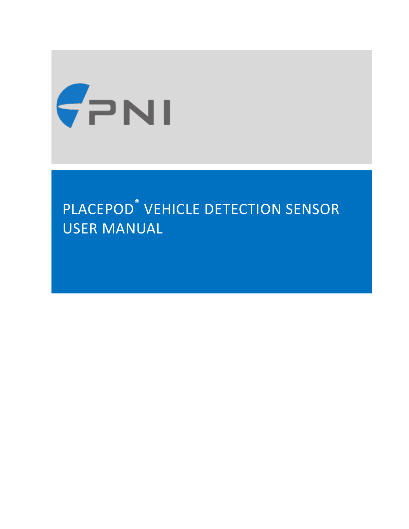

# PLACEPOD ® VEHICLE DETECTION SENSOR USER MANUAL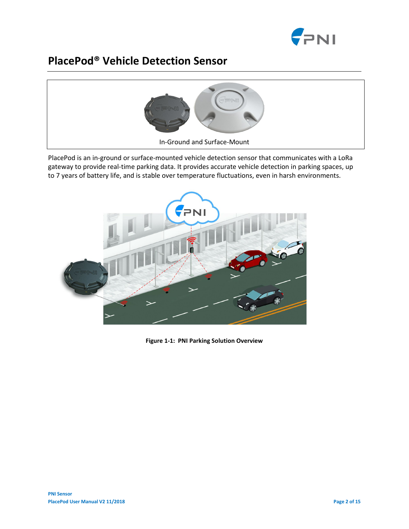

# **PlacePod® Vehicle Detection Sensor**



PlacePod is an in-ground or surface-mounted vehicle detection sensor that communicates with a LoRa gateway to provide real-time parking data. It provides accurate vehicle detection in parking spaces, up to 7 years of battery life, and is stable over temperature fluctuations, even in harsh environments.



**Figure 1-1: PNI Parking Solution Overview**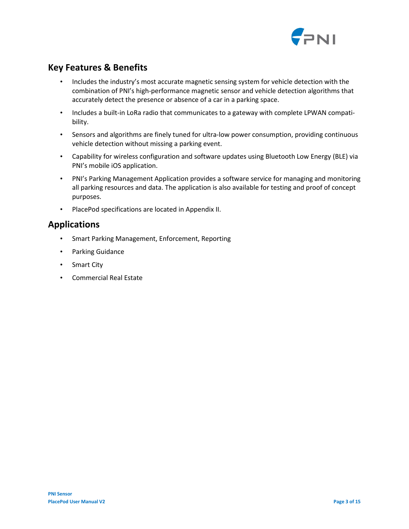

# **Key Features & Benefits**

- Includes the industry's most accurate magnetic sensing system for vehicle detection with the combination of PNI's high-performance magnetic sensor and vehicle detection algorithms that accurately detect the presence or absence of a car in a parking space.
- Includes a built-in LoRa radio that communicates to a gateway with complete LPWAN compatibility.
- Sensors and algorithms are finely tuned for ultra-low power consumption, providing continuous vehicle detection without missing a parking event.
- Capability for wireless configuration and software updates using Bluetooth Low Energy (BLE) via PNI's mobile iOS application.
- PNI's Parking Management Application provides a software service for managing and monitoring all parking resources and data. The application is also available for testing and proof of concept purposes.
- PlacePod specifications are located in Appendix II.

## **Applications**

- Smart Parking Management, Enforcement, Reporting
- Parking Guidance
- Smart City
- Commercial Real Estate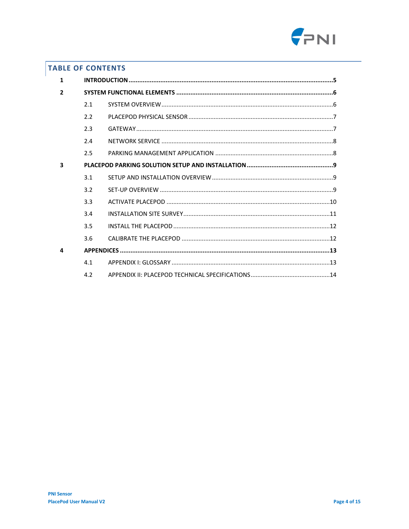

## **TABLE OF CONTENTS**

| 1                       |               |  |  |  |  |
|-------------------------|---------------|--|--|--|--|
| $\overline{2}$          |               |  |  |  |  |
|                         | 2.1           |  |  |  |  |
|                         | 2.2           |  |  |  |  |
|                         | 2.3           |  |  |  |  |
|                         | 2.4           |  |  |  |  |
|                         | 2.5           |  |  |  |  |
| $\overline{\mathbf{3}}$ |               |  |  |  |  |
|                         | 3.1           |  |  |  |  |
|                         | 3.2           |  |  |  |  |
|                         | 3.3           |  |  |  |  |
|                         | 3.4           |  |  |  |  |
|                         | 3.5           |  |  |  |  |
|                         | 3.6           |  |  |  |  |
| 4                       |               |  |  |  |  |
|                         | 4.1           |  |  |  |  |
|                         | $4.2^{\circ}$ |  |  |  |  |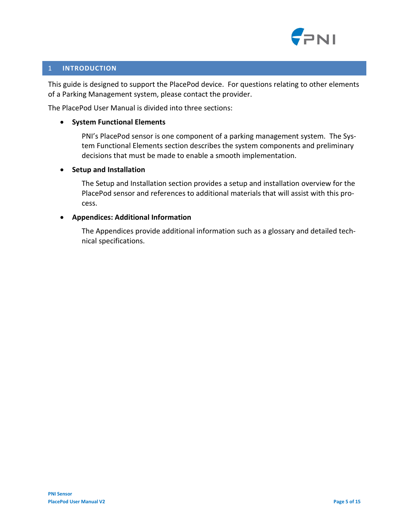

#### <span id="page-4-0"></span>1 **INTRODUCTION**

This guide is designed to support the PlacePod device. For questions relating to other elements of a Parking Management system, please contact the provider.

The PlacePod User Manual is divided into three sections:

#### • **System Functional Elements**

PNI's PlacePod sensor is one component of a parking management system. The System Functional Elements section describes the system components and preliminary decisions that must be made to enable a smooth implementation.

#### • **Setup and Installation**

The Setup and Installation section provides a setup and installation overview for the PlacePod sensor and references to additional materials that will assist with this process.

#### • **Appendices: Additional Information**

The Appendices provide additional information such as a glossary and detailed technical specifications.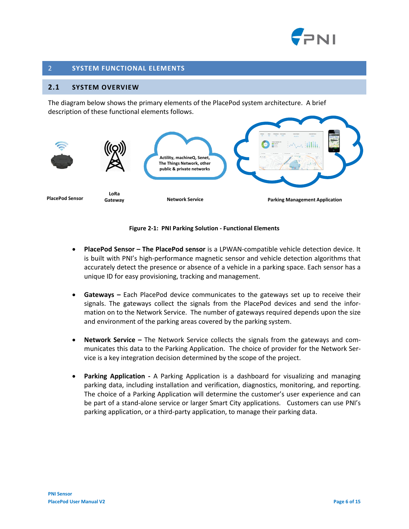

#### <span id="page-5-0"></span>2 **SYSTEM FUNCTIONAL ELEMENTS**

#### <span id="page-5-1"></span>**2.1 SYSTEM OVERVIEW**

The diagram below shows the primary elements of the PlacePod system architecture. A brief description of these functional elements follows.



#### **Figure 2-1: PNI Parking Solution - Functional Elements**

- **PlacePod Sensor – The PlacePod sensor** is a LPWAN-compatible vehicle detection device. It is built with PNI's high-performance magnetic sensor and vehicle detection algorithms that accurately detect the presence or absence of a vehicle in a parking space. Each sensor has a unique ID for easy provisioning, tracking and management.
- **Gateways –** Each PlacePod device communicates to the gateways set up to receive their signals. The gateways collect the signals from the PlacePod devices and send the information on to the Network Service. The number of gateways required depends upon the size and environment of the parking areas covered by the parking system.
- **Network Service –** The Network Service collects the signals from the gateways and communicates this data to the Parking Application. The choice of provider for the Network Service is a key integration decision determined by the scope of the project.
- **Parking Application -** A Parking Application is a dashboard for visualizing and managing parking data, including installation and verification, diagnostics, monitoring, and reporting. The choice of a Parking Application will determine the customer's user experience and can be part of a stand-alone service or larger Smart City applications. Customers can use PNI's parking application, or a third-party application, to manage their parking data.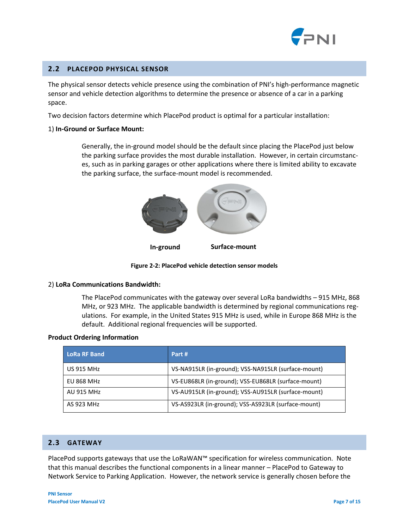

#### <span id="page-6-0"></span>**2.2 PLACEPOD PHYSICAL SENSOR**

The physical sensor detects vehicle presence using the combination of PNI's high-performance magnetic sensor and vehicle detection algorithms to determine the presence or absence of a car in a parking space.

Two decision factors determine which PlacePod product is optimal for a particular installation:

#### 1) **In-Ground or Surface Mount:**

Generally, the in-ground model should be the default since placing the PlacePod just below the parking surface provides the most durable installation. However, in certain circumstances, such as in parking garages or other applications where there is limited ability to excavate the parking surface, the surface-mount model is recommended.



**Figure 2-2: PlacePod vehicle detection sensor models**

#### 2) **LoRa Communications Bandwidth:**

The PlacePod communicates with the gateway over several LoRa bandwidths – 915 MHz, 868 MHz, or 923 MHz. The applicable bandwidth is determined by regional communications regulations. For example, in the United States 915 MHz is used, while in Europe 868 MHz is the default. Additional regional frequencies will be supported.

#### **Product Ordering Information**

| <b>LoRa RF Band</b> | Part #                                              |
|---------------------|-----------------------------------------------------|
| <b>US 915 MHz</b>   | VS-NA915LR (in-ground); VSS-NA915LR (surface-mount) |
| <b>EU 868 MHz</b>   | VS-EU868LR (in-ground); VSS-EU868LR (surface-mount) |
| <b>AU 915 MHz</b>   | VS-AU915LR (in-ground); VSS-AU915LR (surface-mount) |
| AS 923 MHz          | VS-AS923LR (in-ground); VSS-AS923LR (surface-mount) |

#### <span id="page-6-1"></span>**2.3 GATEWAY**

PlacePod supports gateways that use the LoRaWAN™ specification for wireless communication. Note that this manual describes the functional components in a linear manner – PlacePod to Gateway to Network Service to Parking Application. However, the network service is generally chosen before the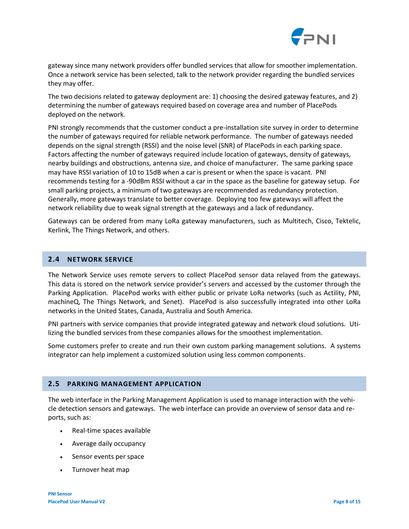

gateway since many network providers offer bundled services that allow for smoother implementation. Once a network service has been selected, talk to the network provider regarding the bundled services they may offer.

The two decisions related to gateway deployment are: 1) choosing the desired gateway features, and 2) determining the number of gateways required based on coverage area and number of PlacePods deployed on the network.

PNI strongly recommends that the customer conduct a pre-installation site survey in order to determine the number of gateways required for reliable network performance. The number of gateways needed depends on the signal strength (RSSI) and the noise level (SNR) of PlacePods in each parking space. Factors affecting the number of gateways required include location of gateways, density of gateways, nearby buildings and obstructions, antenna size, and choice of manufacturer. The same parking space may have RSSI variation of 10 to 15dB when a car is present or when the space is vacant. PNI recommends testing for a -90dBm RSSI without a car in the space as the baseline for gateway setup. For small parking projects, a minimum of two gateways are recommended as redundancy protection. Generally, more gateways translate to better coverage. Deploying too few gateways will affect the network reliability due to weak signal strength at the gateways and a lack of redundancy.

Gateways can be ordered from many LoRa gateway manufacturers, such as Multitech, Cisco, Tektelic, Kerlink, The Things Network, and others.

#### <span id="page-7-0"></span>**2.4 NETWORK SERVICE**

The Network Service uses remote servers to collect PlacePod sensor data relayed from the gateways. This data is stored on the network service provider's servers and accessed by the customer through the Parking Application. PlacePod works with either public or private LoRa networks (such as Actility, PNI, machineQ, The Things Network, and Senet). PlacePod is also successfully integrated into other LoRa networks in the United States, Canada, Australia and South America.

PNI partners with service companies that provide integrated gateway and network cloud solutions. Utilizing the bundled services from these companies allows for the smoothest implementation.

Some customers prefer to create and run their own custom parking management solutions. A systems integrator can help implement a customized solution using less common components.

#### <span id="page-7-1"></span>**2.5 PARKING MANAGEMENT APPLICATION**

The web interface in the Parking Management Application is used to manage interaction with the vehicle detection sensors and gateways. The web interface can provide an overview of sensor data and reports, such as:

- Real-time spaces available
- Average daily occupancy
- Sensor events per space
- Turnover heat map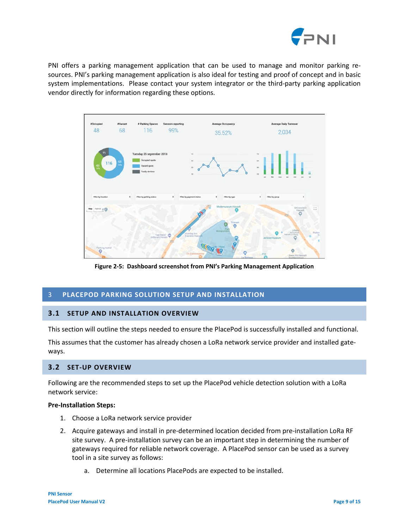

PNI offers a parking management application that can be used to manage and monitor parking resources. PNI's parking management application is also ideal for testing and proof of concept and in basic system implementations. Please contact your system integrator or the third-party parking application vendor directly for information regarding these options.



**Figure 2-5: Dashboard screenshot from PNI's Parking Management Application**

#### <span id="page-8-0"></span>3 **PLACEPOD PARKING SOLUTION SETUP AND INSTALLATION**

#### <span id="page-8-1"></span>**3.1 SETUP AND INSTALLATION OVERVIEW**

This section will outline the steps needed to ensure the PlacePod is successfully installed and functional.

This assumes that the customer has already chosen a LoRa network service provider and installed gateways.

#### <span id="page-8-2"></span>**3.2 SET-UP OVERVIEW**

Following are the recommended steps to set up the PlacePod vehicle detection solution with a LoRa network service:

#### **Pre-Installation Steps:**

- 1. Choose a LoRa network service provider
- 2. Acquire gateways and install in pre-determined location decided from pre-installation LoRa RF site survey. A pre-installation survey can be an important step in determining the number of gateways required for reliable network coverage. A PlacePod sensor can be used as a survey tool in a site survey as follows:
	- a. Determine all locations PlacePods are expected to be installed.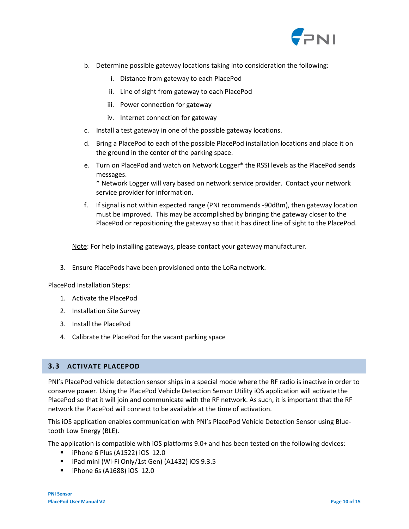

- b. Determine possible gateway locations taking into consideration the following:
	- i. Distance from gateway to each PlacePod
	- ii. Line of sight from gateway to each PlacePod
	- iii. Power connection for gateway
	- iv. Internet connection for gateway
- c. Install a test gateway in one of the possible gateway locations.
- d. Bring a PlacePod to each of the possible PlacePod installation locations and place it on the ground in the center of the parking space.
- e. Turn on PlacePod and watch on Network Logger\* the RSSI levels as the PlacePod sends messages.

\* Network Logger will vary based on network service provider. Contact your network service provider for information.

f. If signal is not within expected range (PNI recommends -90dBm), then gateway location must be improved. This may be accomplished by bringing the gateway closer to the PlacePod or repositioning the gateway so that it has direct line of sight to the PlacePod.

Note: For help installing gateways, please contact your gateway manufacturer.

3. Ensure PlacePods have been provisioned onto the LoRa network.

PlacePod Installation Steps:

- 1. Activate the PlacePod
- 2. Installation Site Survey
- 3. Install the PlacePod
- 4. Calibrate the PlacePod for the vacant parking space

#### <span id="page-9-0"></span>**3.3 ACTIVATE PLACEPOD**

PNI's PlacePod vehicle detection sensor ships in a special mode where the RF radio is inactive in order to conserve power. Using the PlacePod Vehicle Detection Sensor Utility iOS application will activate the PlacePod so that it will join and communicate with the RF network. As such, it is important that the RF network the PlacePod will connect to be available at the time of activation.

This iOS application enables communication with PNI's PlacePod Vehicle Detection Sensor using Bluetooth Low Energy (BLE).

The application is compatible with iOS platforms 9.0+ and has been tested on the following devices:

- $\blacksquare$  iPhone 6 Plus (A1522) iOS 12.0
- iPad mini (Wi-Fi Only/1st Gen) (A1432) iOS 9.3.5
- **F** iPhone 6s (A1688) iOS 12.0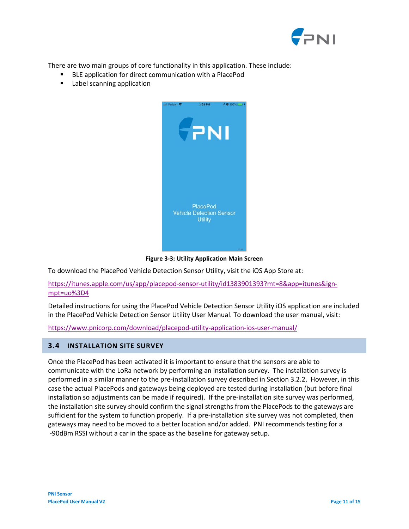

There are two main groups of core functionality in this application. These include:

- BLE application for direct communication with a PlacePod
- **Label scanning application**



**Figure 3-3: Utility Application Main Screen**

To download the PlacePod Vehicle Detection Sensor Utility, visit the iOS App Store at:

[https://itunes.apple.com/us/app/placepod-sensor-utility/id1383901393?mt=8&app=itunes&ign](https://itunes.apple.com/us/app/placepod-sensor-utility/id1383901393?mt=8&app=itunes&ign-mpt=uo%3D4)[mpt=uo%3D4](https://itunes.apple.com/us/app/placepod-sensor-utility/id1383901393?mt=8&app=itunes&ign-mpt=uo%3D4)

Detailed instructions for using the PlacePod Vehicle Detection Sensor Utility iOS application are included in the PlacePod Vehicle Detection Sensor Utility User Manual. To download the user manual, visit:

<https://www.pnicorp.com/download/placepod-utility-application-ios-user-manual/>

#### <span id="page-10-0"></span>**3.4 INSTALLATION SITE SURVEY**

Once the PlacePod has been activated it is important to ensure that the sensors are able to communicate with the LoRa network by performing an installation survey. The installation survey is performed in a similar manner to the pre-installation survey described in Section 3.2.2. However, in this case the actual PlacePods and gateways being deployed are tested during installation (but before final installation so adjustments can be made if required). If the pre-installation site survey was performed, the installation site survey should confirm the signal strengths from the PlacePods to the gateways are sufficient for the system to function properly. If a pre-installation site survey was not completed, then gateways may need to be moved to a better location and/or added. PNI recommends testing for a -90dBm RSSI without a car in the space as the baseline for gateway setup.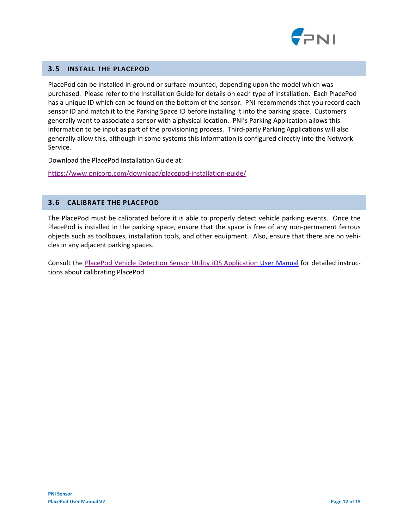

#### <span id="page-11-0"></span>**3.5 INSTALL THE PLACEPOD**

PlacePod can be installed in-ground or surface-mounted, depending upon the model which was purchased. Please refer to the Installation Guide for details on each type of installation. Each PlacePod has a unique ID which can be found on the bottom of the sensor. PNI recommends that you record each sensor ID and match it to the Parking Space ID before installing it into the parking space. Customers generally want to associate a sensor with a physical location. PNI's Parking Application allows this information to be input as part of the provisioning process. Third-party Parking Applications will also generally allow this, although in some systems this information is configured directly into the Network Service.

Download the [PlacePod Installation Guide](http://www.google.com/) at:

<https://www.pnicorp.com/download/placepod-installation-guide/>

#### <span id="page-11-1"></span>**3.6 CALIBRATE THE PLACEPOD**

The PlacePod must be calibrated before it is able to properly detect vehicle parking events. Once the PlacePod is installed in the parking space, ensure that the space is free of any non-permanent ferrous objects such as toolboxes, installation tools, and other equipment. Also, ensure that there are no vehicles in any adjacent parking spaces.

Consult the [PlacePod Vehicle Detection Sensor Utility iOS Application](https://www.pnicorp.com/download/placepod-utility-application-ios-user-manual/) User Manual for detailed instructions about calibrating PlacePod.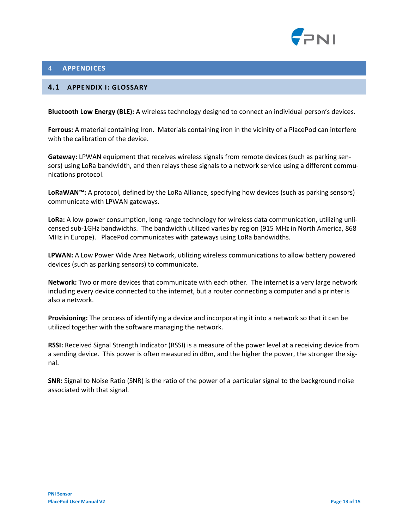

#### <span id="page-12-0"></span>4 **APPENDICES**

#### <span id="page-12-1"></span>**4.1 APPENDIX I: GLOSSARY**

**Bluetooth Low Energy (BLE):** A wireless technology designed to connect an individual person's devices.

**Ferrous:** A material containing Iron. Materials containing iron in the vicinity of a PlacePod can interfere with the calibration of the device.

**Gateway:** LPWAN equipment that receives wireless signals from remote devices (such as parking sensors) using LoRa bandwidth, and then relays these signals to a network service using a different communications protocol.

**LoRaWAN™:** A protocol, defined by the LoRa Alliance, specifying how devices (such as parking sensors) communicate with LPWAN gateways.

**LoRa:** A low-power consumption, long-range technology for wireless data communication, utilizing unlicensed sub-1GHz bandwidths. The bandwidth utilized varies by region (915 MHz in North America, 868 MHz in Europe). PlacePod communicates with gateways using LoRa bandwidths.

**LPWAN:** A Low Power Wide Area Network, utilizing wireless communications to allow battery powered devices (such as parking sensors) to communicate.

**Network:** Two or more devices that communicate with each other. The internet is a very large network including every device connected to the internet, but a router connecting a computer and a printer is also a network.

**Provisioning:** The process of identifying a device and incorporating it into a network so that it can be utilized together with the software managing the network.

**RSSI:** Received Signal Strength Indicator (RSSI) is a measure of the power level at a receiving device from a sending device. This power is often measured in dBm, and the higher the power, the stronger the signal.

**SNR:** Signal to Noise Ratio (SNR) is the ratio of the power of a particular signal to the background noise associated with that signal.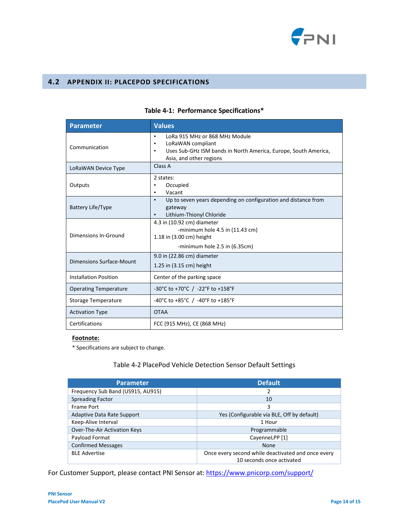

#### <span id="page-13-0"></span>**4.2 APPENDIX II: PLACEPOD SPECIFICATIONS**

| <b>Parameter</b>             | <b>Values</b>                                                                                                                                                                            |  |  |
|------------------------------|------------------------------------------------------------------------------------------------------------------------------------------------------------------------------------------|--|--|
| Communication                | LoRa 915 MHz or 868 MHz Module<br>$\bullet$<br>LoRaWAN compliant<br>$\bullet$<br>Uses Sub-GHz ISM bands in North America, Europe, South America,<br>$\bullet$<br>Asia, and other regions |  |  |
| LoRaWAN Device Type          | Class A                                                                                                                                                                                  |  |  |
| Outputs                      | 2 states:<br>Occupied<br>$\bullet$<br>Vacant<br>٠                                                                                                                                        |  |  |
| Battery Life/Type            | Up to seven years depending on configuration and distance from<br>$\bullet$<br>gateway<br>Lithium-Thionyl Chloride<br>$\bullet$                                                          |  |  |
| Dimensions In-Ground         | 4.3 in (10.92 cm) diameter<br>-minimum hole $4.5$ in $(11.43$ cm)<br>1.18 in (3.00 cm) height<br>-minimum hole $2.5$ in $(6.35cm)$                                                       |  |  |
| Dimensions Surface-Mount     | 9.0 in (22.86 cm) diameter<br>1.25 in (3.15 cm) height                                                                                                                                   |  |  |
| <b>Installation Position</b> | Center of the parking space                                                                                                                                                              |  |  |
| <b>Operating Temperature</b> | -30°C to +70°C / -22°F to +158°F                                                                                                                                                         |  |  |
| Storage Temperature          | -40°C to +85°C / -40°F to +185°F                                                                                                                                                         |  |  |
| <b>Activation Type</b>       | <b>OTAA</b>                                                                                                                                                                              |  |  |
| Certifications               | FCC (915 MHz), CE (868 MHz)                                                                                                                                                              |  |  |

### **Table 4-1: Performance Specifications\***

#### **Footnote:**

\* Specifications are subject to change.

#### Table 4-2 PlacePod Vehicle Detection Sensor Default Settings

| <b>Parameter</b>                  | <b>Default</b>                                                                  |
|-----------------------------------|---------------------------------------------------------------------------------|
| Frequency Sub Band (US915, AU915) |                                                                                 |
| <b>Spreading Factor</b>           | 10                                                                              |
| Frame Port                        | 3                                                                               |
| <b>Adaptive Data Rate Support</b> | Yes (Configurable via BLE, Off by default)                                      |
| Keep-Alive Interval               | 1 Hour                                                                          |
| Over-The-Air Activation Keys      | Programmable                                                                    |
| Payload Format                    | CayenneLPP [1]                                                                  |
| <b>Confirmed Messages</b>         | <b>None</b>                                                                     |
| <b>BLE Advertise</b>              | Once every second while deactivated and once every<br>10 seconds once activated |

For Customer Support, please contact PNI Sensor at[: https://www.pnicorp.com/support/](https://www.pnicorp.com/support/)